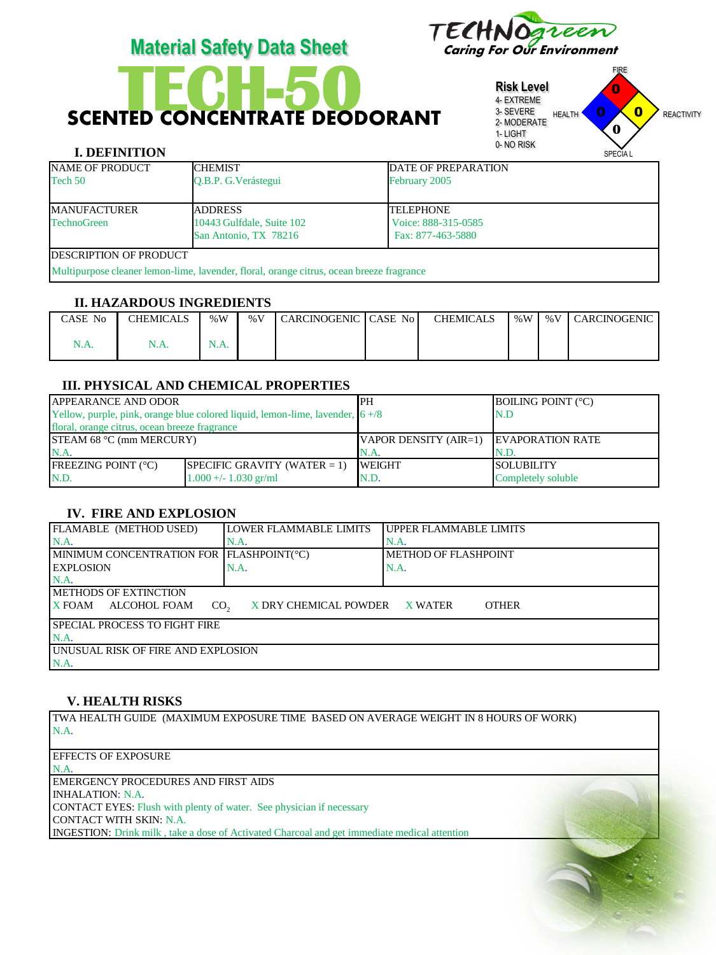

# **SCENTED CONCENTRATE DEODORANT**

**Risk Level** 4- EXTREME 3- SEVERE 2- MODERATE 1- LIGHT 0- NO RISK FIRE HEALTH **U U REACTIVITY** SPECIA L 0 0  $\overline{0}$ **0**

# **I. DEFINITION**

| $\cdots$                       |                                                                                          |                            | UI LUIA L |
|--------------------------------|------------------------------------------------------------------------------------------|----------------------------|-----------|
| <b>NAME OF PRODUCT</b>         | <b>CHEMIST</b>                                                                           | <b>DATE OF PREPARATION</b> |           |
| Tech 50                        | O.B.P. G. Verástegui                                                                     | February 2005              |           |
|                                |                                                                                          |                            |           |
| <b>MANUFACTURER</b>            | <b>ADDRESS</b>                                                                           | <b>TELEPHONE</b>           |           |
| <b>TechnoGreen</b>             | 10443 Gulfdale, Suite 102                                                                | Voice: 888-315-0585        |           |
|                                | San Antonio, TX 78216                                                                    | Fax: 877-463-5880          |           |
| <b>IDESCRIPTION OF PRODUCT</b> |                                                                                          |                            |           |
|                                | Multipurpose cleaner lemon-lime, lavender, floral, orange citrus, ocean breeze fragrance |                            |           |

### **II. HAZARDOUS INGREDIENTS**

| CASE No | <b>CHEMICALS</b> | %W           | $\%$ V | <b>CARCINOGENIC</b> | <b>CASE No</b> | <b>CHEMICALS</b> | % $W$ | % $V$ | <b>CARCINOGENIC</b> |
|---------|------------------|--------------|--------|---------------------|----------------|------------------|-------|-------|---------------------|
| N.A.    | 17.A.            | NL<br>13.EX. |        |                     |                |                  |       |       |                     |

## **III. PHYSICAL AND CHEMICAL PROPERTIES**

| <b>APPEARANCE AND ODOR</b>                    |                                                                                 | <b>IPH</b>                     | <b>BOILING POINT (°C)</b> |
|-----------------------------------------------|---------------------------------------------------------------------------------|--------------------------------|---------------------------|
|                                               | Yellow, purple, pink, orange blue colored liquid, lemon-lime, lavender, $6 + 8$ |                                | N.D                       |
| floral, orange citrus, ocean breeze fragrance |                                                                                 |                                |                           |
| <b>STEAM 68 °C (mm MERCURY)</b>               |                                                                                 | $\forall$ APOR DENSITY (AIR=1) | <b>EVAPORATION RATE</b>   |
| N.A.                                          |                                                                                 | $NA$ .                         | N.D.                      |
| <b>FREEZING POINT (°C)</b>                    | SPECIFIC GRAVITY (WATER $= 1$ )                                                 | <b>IWEIGHT</b>                 | <b>ISOLUBILITY</b>        |
| N.D.                                          | $1.000 +/- 1.030$ gr/ml                                                         | N.D.                           | Completely soluble        |

# **IV. FIRE AND EXPLOSION**

| FLAMABLE (METHOD USED)                           | LOWER FLAMMABLE LIMITS | <b>IUPPER FLAMMABLE LIMITS</b> |  |
|--------------------------------------------------|------------------------|--------------------------------|--|
| $NA$ .                                           | N.A.                   | N.A.                           |  |
| MINIMUM CONCENTRATION FOR FLASHPOINT(°C)         |                        | METHOD OF FLASHPOINT           |  |
| <b>IEXPLOSION</b>                                | N.A.                   | N.A.                           |  |
| $NA$ .                                           |                        |                                |  |
| <b>IMETHODS OF EXTINCTION</b>                    |                        |                                |  |
| <b>X FOAM</b><br>ALCOHOL FOAM<br>CO <sub>2</sub> | X DRY CHEMICAL POWDER  | <b>OTHER</b><br>X WATER        |  |
| <b>SPECIAL PROCESS TO FIGHT FIRE</b>             |                        |                                |  |
| N.A.                                             |                        |                                |  |
| <b>UNUSUAL RISK OF FIRE AND EXPLOSION</b>        |                        |                                |  |
| N.A.                                             |                        |                                |  |

## **V. HEALTH RISKS**

TWA HEALTH GUIDE (MAXIMUM EXPOSURE TIME BASED ON AVERAGE WEIGHT IN 8 HOURS OF WORK) N.A.

EFFECTS OF EXPOSURE N.A. EMERGENCY PROCEDURES AND FIRST AIDS INHALATION: N.A. CONTACT EYES: Flush with plenty of water. See physician if necessary CONTACT WITH SKIN: N.A. INGESTION: Drink milk , take a dose of Activated Charcoal and get immediate medical attention